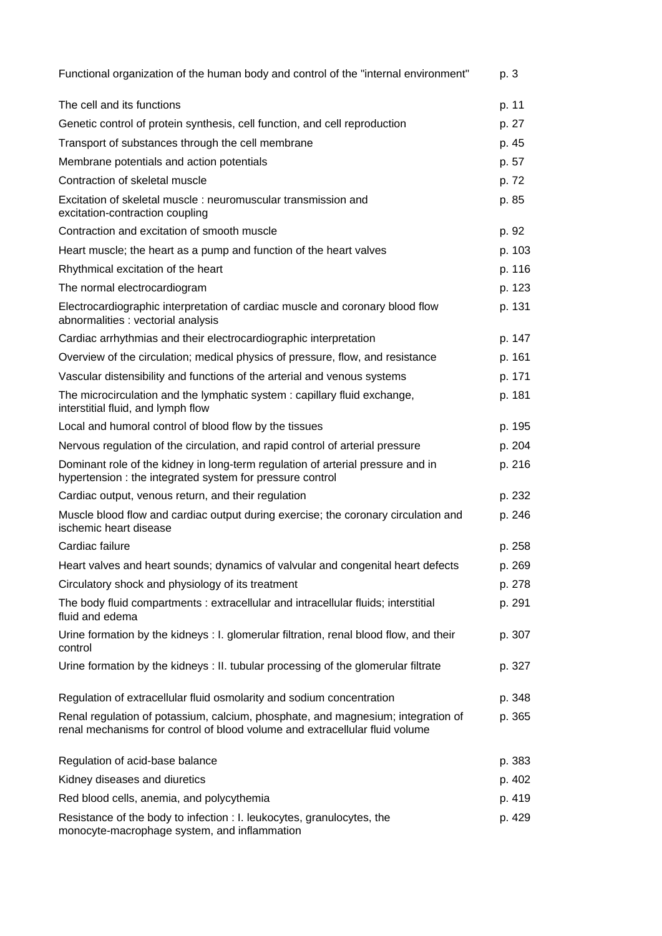| Functional organization of the human body and control of the "internal environment"                                                                             | p. 3   |
|-----------------------------------------------------------------------------------------------------------------------------------------------------------------|--------|
| The cell and its functions                                                                                                                                      | p. 11  |
| Genetic control of protein synthesis, cell function, and cell reproduction                                                                                      | p. 27  |
| Transport of substances through the cell membrane                                                                                                               | p. 45  |
| Membrane potentials and action potentials                                                                                                                       | p. 57  |
| Contraction of skeletal muscle                                                                                                                                  | p. 72  |
| Excitation of skeletal muscle: neuromuscular transmission and<br>excitation-contraction coupling                                                                | p. 85  |
| Contraction and excitation of smooth muscle                                                                                                                     | p. 92  |
| Heart muscle; the heart as a pump and function of the heart valves                                                                                              | p. 103 |
| Rhythmical excitation of the heart                                                                                                                              | p. 116 |
| The normal electrocardiogram                                                                                                                                    | p. 123 |
| Electrocardiographic interpretation of cardiac muscle and coronary blood flow<br>abnormalities : vectorial analysis                                             | p. 131 |
| Cardiac arrhythmias and their electrocardiographic interpretation                                                                                               | p. 147 |
| Overview of the circulation; medical physics of pressure, flow, and resistance                                                                                  | p. 161 |
| Vascular distensibility and functions of the arterial and venous systems                                                                                        | p. 171 |
| The microcirculation and the lymphatic system: capillary fluid exchange,<br>interstitial fluid, and lymph flow                                                  | p. 181 |
| Local and humoral control of blood flow by the tissues                                                                                                          | p. 195 |
| Nervous regulation of the circulation, and rapid control of arterial pressure                                                                                   | p. 204 |
| Dominant role of the kidney in long-term regulation of arterial pressure and in<br>hypertension: the integrated system for pressure control                     | p. 216 |
| Cardiac output, venous return, and their regulation                                                                                                             | p. 232 |
| Muscle blood flow and cardiac output during exercise; the coronary circulation and<br>ischemic heart disease                                                    | p. 246 |
| Cardiac failure                                                                                                                                                 | p. 258 |
| Heart valves and heart sounds; dynamics of valvular and congenital heart defects                                                                                | p. 269 |
| Circulatory shock and physiology of its treatment                                                                                                               | p. 278 |
| The body fluid compartments : extracellular and intracellular fluids; interstitial<br>fluid and edema                                                           | p. 291 |
| Urine formation by the kidneys : I. glomerular filtration, renal blood flow, and their<br>control                                                               | p. 307 |
| Urine formation by the kidneys: II. tubular processing of the glomerular filtrate                                                                               | p. 327 |
| Regulation of extracellular fluid osmolarity and sodium concentration                                                                                           | p. 348 |
| Renal regulation of potassium, calcium, phosphate, and magnesium; integration of<br>renal mechanisms for control of blood volume and extracellular fluid volume | p. 365 |
| Regulation of acid-base balance                                                                                                                                 | p. 383 |
| Kidney diseases and diuretics                                                                                                                                   | p. 402 |
| Red blood cells, anemia, and polycythemia                                                                                                                       | p. 419 |
| Resistance of the body to infection : I. leukocytes, granulocytes, the<br>monocyte-macrophage system, and inflammation                                          | p. 429 |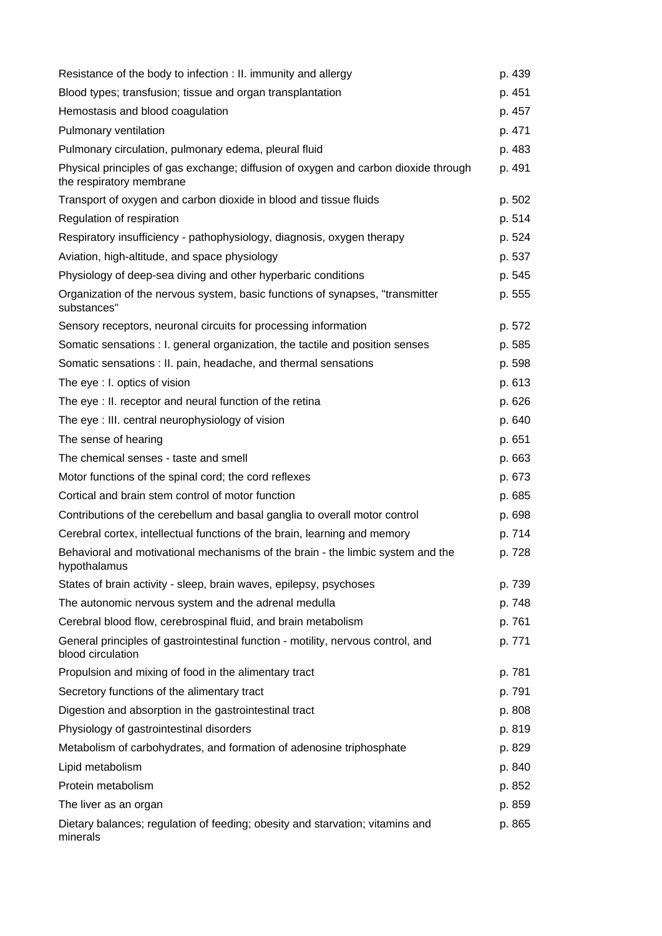| Resistance of the body to infection : II. immunity and allergy                                                  | p. 439 |
|-----------------------------------------------------------------------------------------------------------------|--------|
| Blood types; transfusion; tissue and organ transplantation                                                      | p. 451 |
| Hemostasis and blood coagulation                                                                                | p. 457 |
| Pulmonary ventilation                                                                                           | p. 471 |
| Pulmonary circulation, pulmonary edema, pleural fluid                                                           | p. 483 |
| Physical principles of gas exchange; diffusion of oxygen and carbon dioxide through<br>the respiratory membrane | p. 491 |
| Transport of oxygen and carbon dioxide in blood and tissue fluids                                               | p. 502 |
| Regulation of respiration                                                                                       | p. 514 |
| Respiratory insufficiency - pathophysiology, diagnosis, oxygen therapy                                          | p. 524 |
| Aviation, high-altitude, and space physiology                                                                   | p. 537 |
| Physiology of deep-sea diving and other hyperbaric conditions                                                   | p. 545 |
| Organization of the nervous system, basic functions of synapses, "transmitter<br>substances"                    | p. 555 |
| Sensory receptors, neuronal circuits for processing information                                                 | p. 572 |
| Somatic sensations : I. general organization, the tactile and position senses                                   | p. 585 |
| Somatic sensations : II. pain, headache, and thermal sensations                                                 | p. 598 |
| The eye : I. optics of vision                                                                                   | p. 613 |
| The eye : II. receptor and neural function of the retina                                                        | p. 626 |
| The eye: III. central neurophysiology of vision                                                                 | p. 640 |
| The sense of hearing                                                                                            | p. 651 |
| The chemical senses - taste and smell                                                                           | p. 663 |
| Motor functions of the spinal cord; the cord reflexes                                                           | p. 673 |
| Cortical and brain stem control of motor function                                                               | p. 685 |
| Contributions of the cerebellum and basal ganglia to overall motor control                                      | p. 698 |
| Cerebral cortex, intellectual functions of the brain, learning and memory                                       | p. 714 |
| Behavioral and motivational mechanisms of the brain - the limbic system and the<br>hypothalamus                 | p. 728 |
| States of brain activity - sleep, brain waves, epilepsy, psychoses                                              | p. 739 |
| The autonomic nervous system and the adrenal medulla                                                            | p. 748 |
| Cerebral blood flow, cerebrospinal fluid, and brain metabolism                                                  | p. 761 |
| General principles of gastrointestinal function - motility, nervous control, and<br>blood circulation           | p. 771 |
| Propulsion and mixing of food in the alimentary tract                                                           | p. 781 |
| Secretory functions of the alimentary tract                                                                     | p. 791 |
| Digestion and absorption in the gastrointestinal tract                                                          | p. 808 |
| Physiology of gastrointestinal disorders                                                                        | p. 819 |
| Metabolism of carbohydrates, and formation of adenosine triphosphate                                            | p. 829 |
| Lipid metabolism                                                                                                | p. 840 |
| Protein metabolism                                                                                              | p. 852 |
| The liver as an organ                                                                                           | p. 859 |
| Dietary balances; regulation of feeding; obesity and starvation; vitamins and<br>minerals                       | p. 865 |